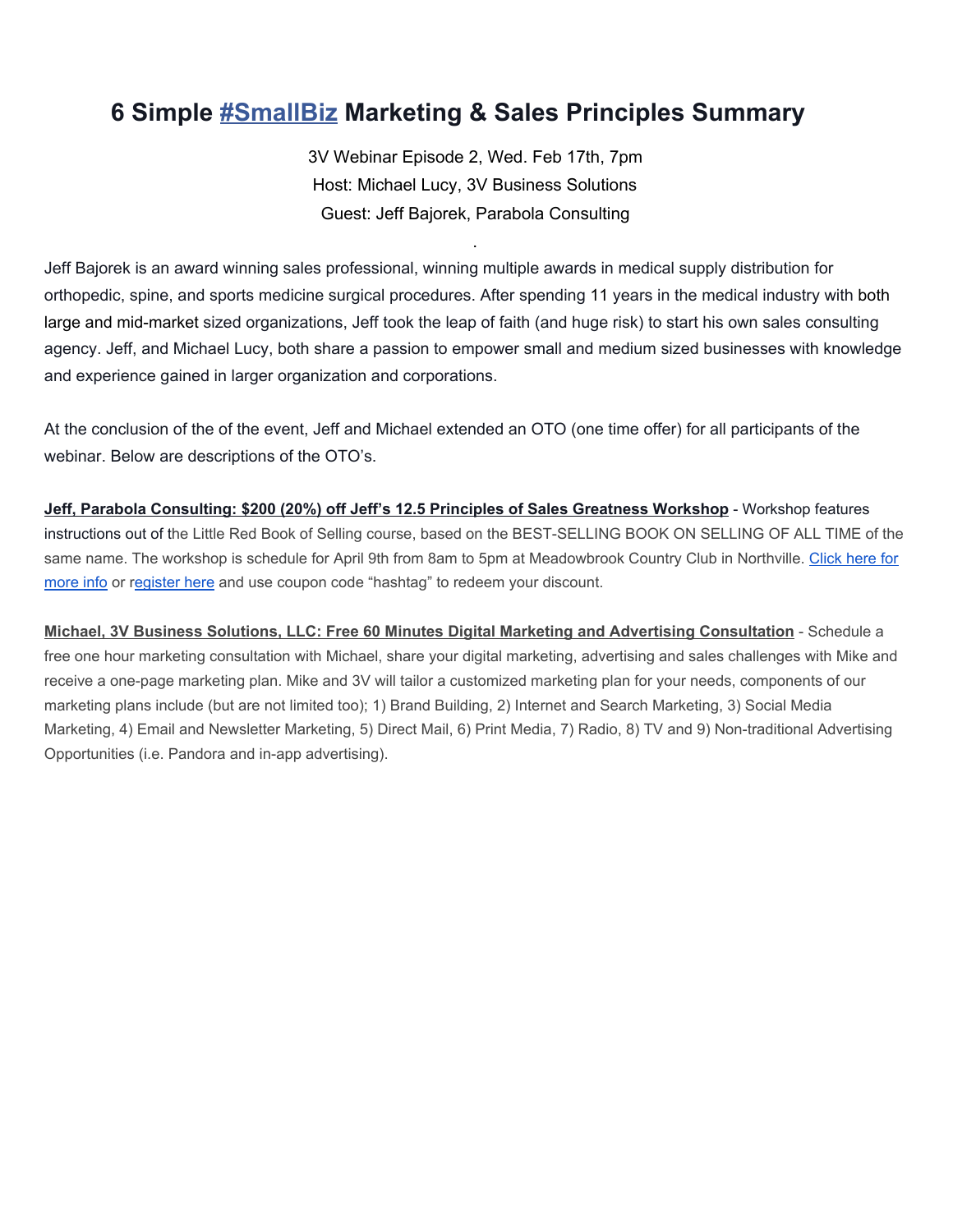## **6 Simple [#SmallBiz](https://www.facebook.com/hashtag/smallbiz)Marketing & Sales Principles Summary**

3V Webinar Episode 2, Wed. Feb 17th, 7pm Host: Michael Lucy, 3V Business Solutions Guest: Jeff Bajorek, Parabola Consulting

.

Jeff Bajorek is an award winning sales professional, winning multiple awards in medical supply distribution for orthopedic, spine, and sports medicine surgical procedures. After spending 11 years in the medical industry with both large and mid-market sized organizations, Jeff took the leap of faith (and huge risk) to start his own sales consulting agency. Jeff, and Michael Lucy, both share a passion to empower small and medium sized businesses with knowledge and experience gained in larger organization and corporations.

At the conclusion of the of the event, Jeff and Michael extended an OTO (one time offer) for all participants of the webinar. Below are descriptions of the OTO's.

**Jeff, Parabola Consulting: \$200 (20%) off Jeff's 12.5 Principles of Sales Greatness Workshop** Workshop features instructions out of the Little Red Book of Selling course, based on the BEST-SELLING BOOK ON SELLING OF ALL TIME of the same name. The workshop is schedule for April 9th from 8am to 5pm at Meadowbrook Country Club in Northville. [Click](http://parabolasales.com/hire-me/little-red-book/) here for [more](http://parabolasales.com/hire-me/little-red-book/) info or [register](http://parabolasales.com/contact/) here and use coupon code "hashtag" to redeem your discount.

**Michael, 3V Business Solutions, LLC: Free 60 Minutes Digital Marketing and Advertising Consultation** Schedule a free one hour marketing consultation with Michael, share your digital marketing, advertising and sales challenges with Mike and receive a one-page marketing plan. Mike and 3V will tailor a customized marketing plan for your needs, components of our marketing plans include (but are not limited too); 1) Brand Building, 2) Internet and Search Marketing, 3) Social Media Marketing, 4) Email and Newsletter Marketing, 5) Direct Mail, 6) Print Media, 7) Radio, 8) TV and 9) Non-traditional Advertising Opportunities (i.e. Pandora and in-app advertising).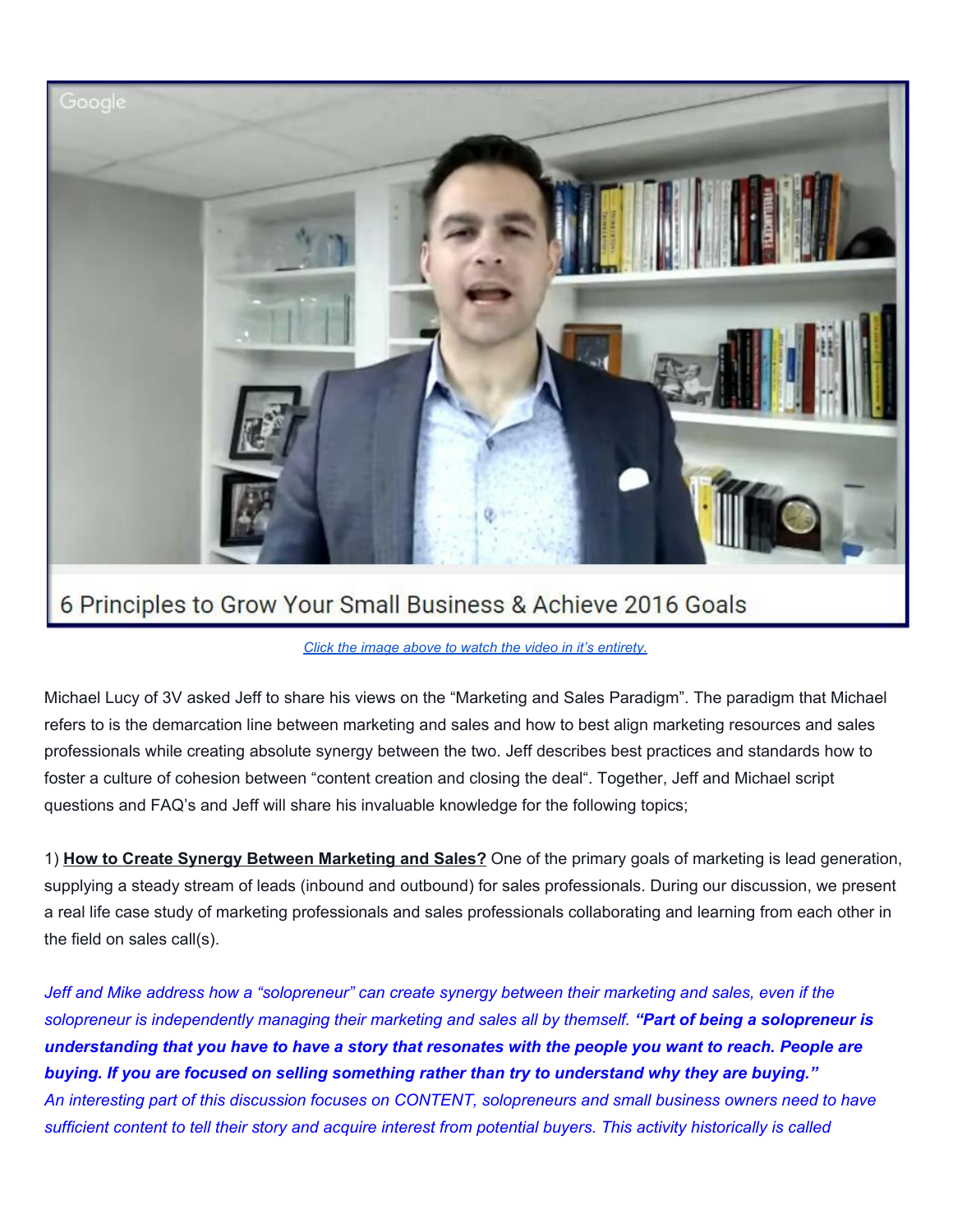

## *Click the image above to watch the video in it's [entirety.](https://www.youtube.com/watch?v=dpOzP7gvuiI)*

Michael Lucy of 3V asked Jeff to share his views on the "Marketing and Sales Paradigm". The paradigm that Michael refers to is the demarcation line between marketing and sales and how to best align marketing resources and sales professionals while creating absolute synergy between the two. Jeff describes best practices and standards how to foster a culture of cohesion between "content creation and closing the deal". Together, Jeff and Michael script questions and FAQ's and Jeff will share his invaluable knowledge for the following topics;

1) **How to Create Synergy Between Marketing and Sales?**One of the primary goals of marketing is lead generation, supplying a steady stream of leads (inbound and outbound) for sales professionals. During our discussion, we present a real life case study of marketing professionals and sales professionals collaborating and learning from each other in the field on sales call(s).

Jeff and Mike address how a "solopreneur" can create synergy between their marketing and sales, even if the solopreneur is independently managing their marketing and sales all by themself. "Part of being a solopreneur is understanding that you have to have a story that resonates with the people you want to reach. People are *buying. If you are focused on selling something rather than try to understand why they are buying."* An interesting part of this discussion focuses on CONTENT, solopreneurs and small business owners need to have sufficient content to tell their story and acquire interest from potential buyers. This activity historically is called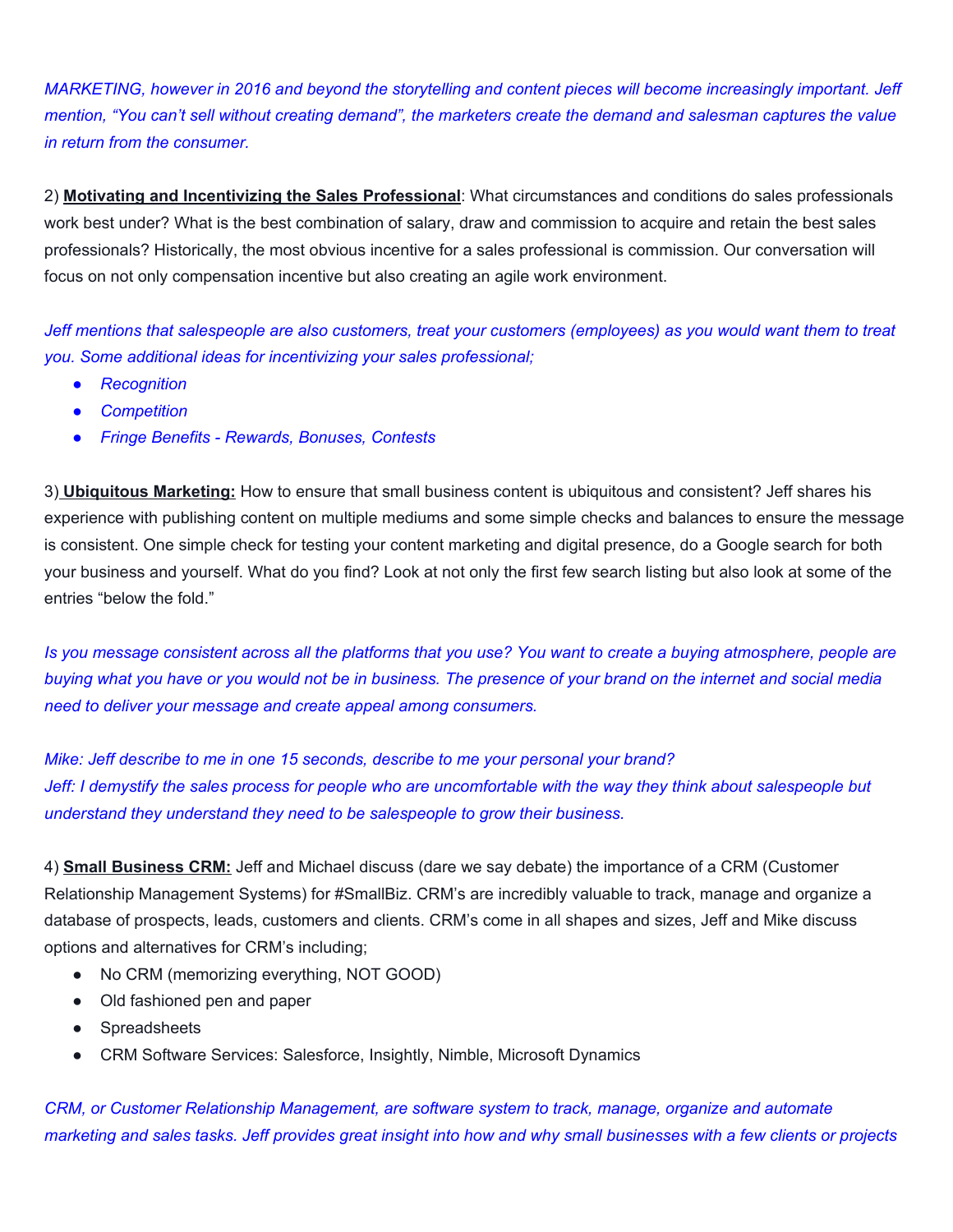MARKETING, however in 2016 and beyond the storytelling and content pieces will become increasingly important. Jeff mention, "You can't sell without creating demand", the marketers create the demand and salesman captures the value *in return from the consumer.*

2) **Motivating and Incentivizing the Sales Professional**: What circumstances and conditions do sales professionals work best under? What is the best combination of salary, draw and commission to acquire and retain the best sales professionals? Historically, the most obvious incentive for a sales professional is commission. Our conversation will focus on not only compensation incentive but also creating an agile work environment.

Jeff mentions that salespeople are also customers, treat your customers (employees) as you would want them to treat *you. Some additional ideas for incentivizing your sales professional;*

- *● Recognition*
- *● Competition*
- *● Fringe Benefits Rewards, Bonuses, Contests*

3) **Ubiquitous Marketing:**How to ensure that small business content is ubiquitous and consistent? Jeff shares his experience with publishing content on multiple mediums and some simple checks and balances to ensure the message is consistent. One simple check for testing your content marketing and digital presence, do a Google search for both your business and yourself. What do you find? Look at not only the first few search listing but also look at some of the entries "below the fold."

Is you message consistent across all the platforms that you use? You want to create a buying atmosphere, people are buying what you have or you would not be in business. The presence of your brand on the internet and social media *need to deliver your message and create appeal among consumers.*

*Mike: Jeff describe to me in one 15 seconds, describe to me your personal your brand?* Jeff: I demystify the sales process for people who are uncomfortable with the way they think about salespeople but *understand they understand they need to be salespeople to grow their business.*

4) **Small Business CRM:**Jeff and Michael discuss (dare we say debate) the importance of a CRM (Customer Relationship Management Systems) for #SmallBiz. CRM's are incredibly valuable to track, manage and organize a database of prospects, leads, customers and clients. CRM's come in all shapes and sizes, Jeff and Mike discuss options and alternatives for CRM's including;

- No CRM (memorizing everything, NOT GOOD)
- Old fashioned pen and paper
- Spreadsheets
- CRM Software Services: Salesforce, Insightly, Nimble, Microsoft Dynamics

*CRM, or Customer Relationship Management, are software system to track, manage, organize and automate* marketing and sales tasks. Jeff provides great insight into how and why small businesses with a few clients or projects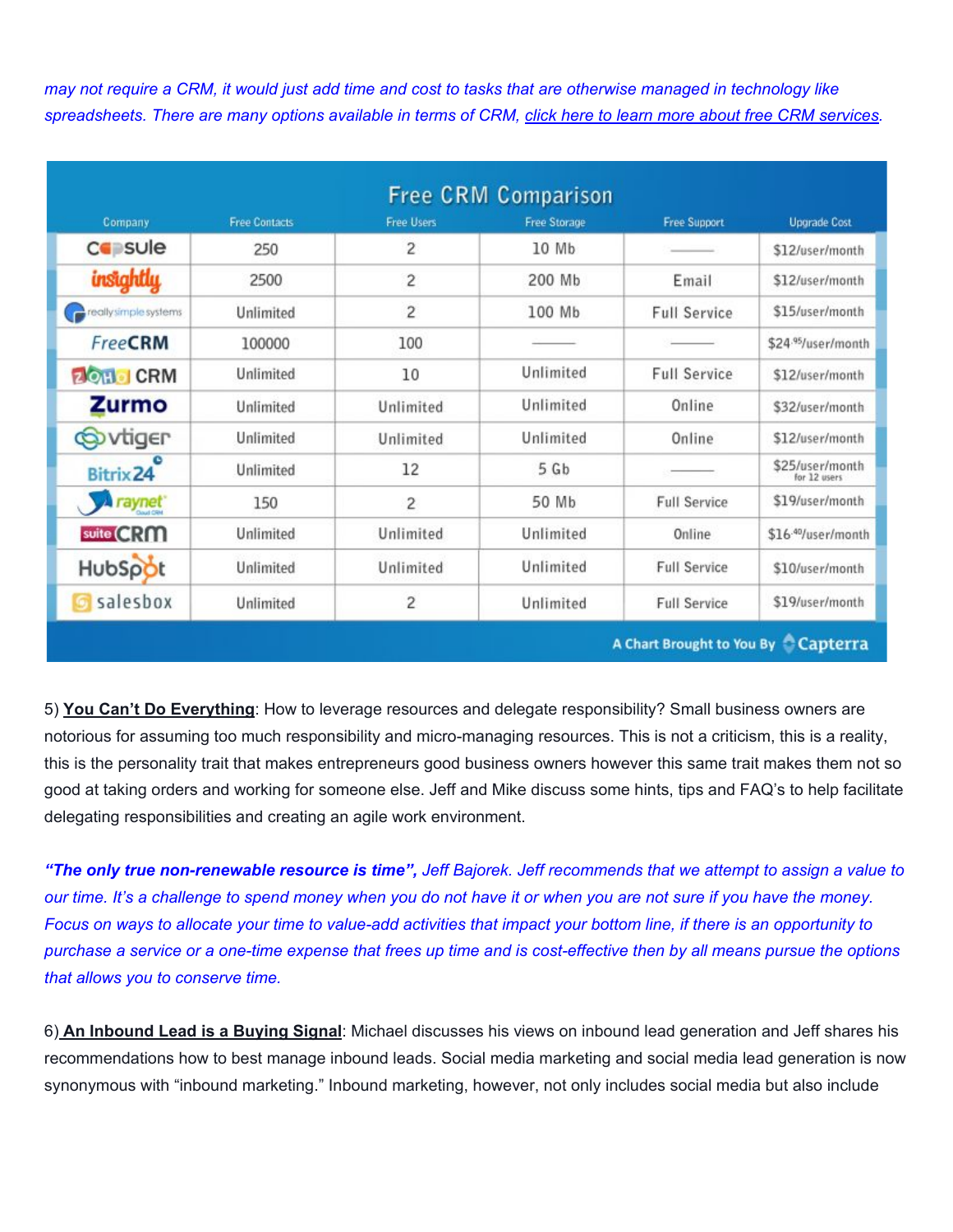may not require a CRM, it would just add time and cost to tasks that are otherwise managed in technology like spreadsheets. There are many options available in terms of CRM, click here to learn more about free CRM [services.](http://blog.capterra.com/free-and-open-source-crm/)

| Company               | <b>Free Contacts</b> | <b>Free Users</b> | <b>Free Storage</b> | <b>Free Support</b> | <b>Upgrade Cost</b>             |
|-----------------------|----------------------|-------------------|---------------------|---------------------|---------------------------------|
| <b>Co</b> sule        | 250                  | 2                 | 10 Mb               |                     | \$12/user/month                 |
| insightly             | 2500                 | 2                 | 200 Mb              | Email               | \$12/user/month                 |
| really simple systems | Unlimited            | $\overline{c}$    | 100 Mb              | <b>Full Service</b> | \$15/user/month                 |
| <b>FreeCRM</b>        | 100000               | 100               |                     |                     | \$24.95/user/month              |
| <b>ZOHO CRM</b>       | Unlimited            | 10                | Unlimited           | <b>Full Service</b> | \$12/user/month                 |
| <b>Zurmo</b>          | Unlimited            | Unlimited         | Unlimited           | Online              | \$32/user/month                 |
| <b>Solvtiger</b>      | Unlimited            | Unlimited         | Unlimited           | Online              | \$12/user/month                 |
| Bitrix 24             | Unlimited            | 12                | 5Gb                 |                     | \$25/user/month<br>for 12 users |
| <b>A</b> raynet       | 150                  | 2                 | 50 Mb               | <b>Full Service</b> | \$19/user/month                 |
| suite CRM             | Unlimited            | Unlimited         | Unlimited           | Online              | \$16-40/user/month              |
| HubSpot               | Unlimited            | Unlimited         | Unlimited           | <b>Full Service</b> | \$10/user/month                 |
| salesbox              | Unlimited            | $\overline{c}$    | Unlimited           | <b>Full Service</b> | \$19/user/month                 |

A Chart Brought to You By Capterra

5) **You Can't Do Everything**: How to leverage resources and delegate responsibility? Small business owners are notorious for assuming too much responsibility and micro-managing resources. This is not a criticism, this is a reality, this is the personality trait that makes entrepreneurs good business owners however this same trait makes them not so good at taking orders and working for someone else. Jeff and Mike discuss some hints, tips and FAQ's to help facilitate delegating responsibilities and creating an agile work environment.

"The only true non-renewable resource is time", Jeff Bajorek. Jeff recommends that we attempt to assign a value to our time. It's a challenge to spend money when you do not have it or when you are not sure if you have the money. Focus on ways to allocate your time to value-add activities that impact your bottom line, if there is an opportunity to purchase a service or a one-time expense that frees up time and is cost-effective then by all means pursue the options *that allows you to conserve time.*

6) **An Inbound Lead is a Buying Signal**: Michael discusses his views on inbound lead generation and Jeff shares his recommendations how to best manage inbound leads. Social media marketing and social media lead generation is now synonymous with "inbound marketing." Inbound marketing, however, not only includes social media but also include